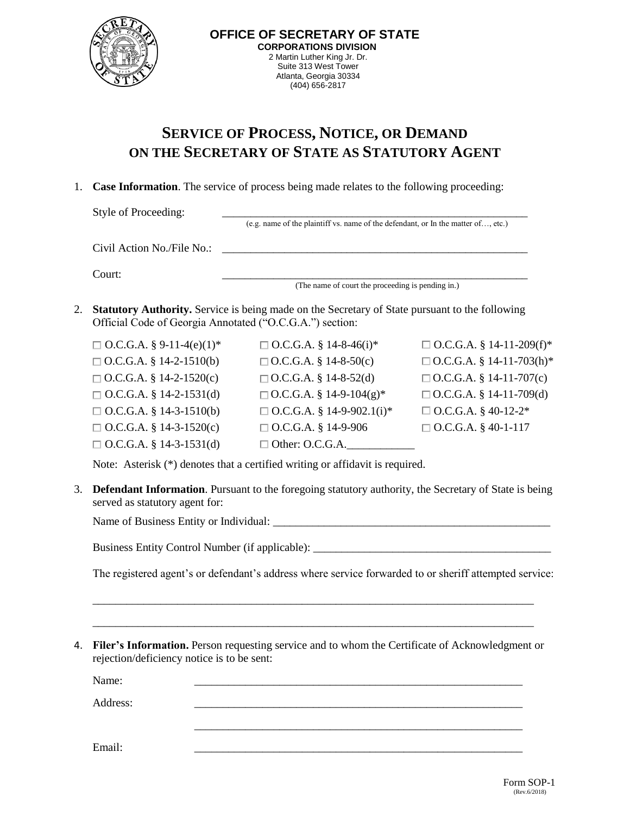

## **SERVICE OF PROCESS, NOTICE, OR DEMAND ON THE SECRETARY OF STATE AS STATUTORY AGENT**

## 1. **Case Information**. The service of process being made relates to the following proceeding:

Style of Proceeding: (e.g. name of the plaintiff vs. name of the defendant, or In the matter of…, etc.)  $Civil$  Action No./File No.: Court: \_\_\_\_\_\_\_\_\_\_\_\_\_\_\_\_\_\_\_\_\_\_\_\_\_\_\_\_\_\_\_\_\_\_\_\_\_\_\_\_\_\_\_\_\_\_\_\_\_\_\_\_\_\_

- (The name of court the proceeding is pending in.)
- 2. **Statutory Authority.** Service is being made on the Secretary of State pursuant to the following Official Code of Georgia Annotated ("O.C.G.A.") section:

| $\Box$ O.C.G.A. § 9-11-4(e)(1)* | $\Box$ O.C.G.A. § 14-8-46(i)*    | $\Box$ O.C.G.A. § 14-11-209(f)* |
|---------------------------------|----------------------------------|---------------------------------|
| $\Box$ O.C.G.A. § 14-2-1510(b)  | $\Box$ O.C.G.A. § 14-8-50(c)     | $\Box$ O.C.G.A. § 14-11-703(h)* |
| $\Box$ O.C.G.A. § 14-2-1520(c)  | $\Box$ O.C.G.A. § 14-8-52(d)     | $\Box$ O.C.G.A. § 14-11-707(c)  |
| $\Box$ O.C.G.A. § 14-2-1531(d)  | $\Box$ O.C.G.A. § 14-9-104(g)*   | $\Box$ O.C.G.A. § 14-11-709(d)  |
| $\Box$ O.C.G.A. § 14-3-1510(b)  | $\Box$ O.C.G.A. § 14-9-902.1(i)* | $\Box$ O.C.G.A. § 40-12-2*      |
| $\Box$ O.C.G.A. § 14-3-1520(c)  | $\Box$ O.C.G.A. § 14-9-906       | $\Box$ O.C.G.A. § 40-1-117      |
| $\Box$ O.C.G.A. § 14-3-1531(d)  | $\Box$ Other: O.C.G.A.           |                                 |

Note: Asterisk (\*) denotes that a certified writing or affidavit is required.

3. **Defendant Information**. Pursuant to the foregoing statutory authority, the Secretary of State is being served as statutory agent for:

Name of Business Entity or Individual:

Business Entity Control Number (if applicable): \_\_\_\_\_\_\_\_\_\_\_\_\_\_\_\_\_\_\_\_\_\_\_\_\_\_\_\_\_\_\_\_

The registered agent's or defendant's address where service forwarded to or sheriff attempted service:

4. **Filer's Information.** Person requesting service and to whom the Certificate of Acknowledgment or rejection/deficiency notice is to be sent:

\_\_\_\_\_\_\_\_\_\_\_\_\_\_\_\_\_\_\_\_\_\_\_\_\_\_\_\_\_\_\_\_\_\_\_\_\_\_\_\_\_\_\_\_\_\_\_\_\_\_\_\_\_\_\_\_\_\_

\_\_\_\_\_\_\_\_\_\_\_\_\_\_\_\_\_\_\_\_\_\_\_\_\_\_\_\_\_\_\_\_\_\_\_\_\_\_\_\_\_\_\_\_\_\_\_\_\_\_\_\_\_\_\_\_\_\_\_\_\_\_\_\_\_\_\_\_\_\_\_\_\_\_\_\_\_\_

\_\_\_\_\_\_\_\_\_\_\_\_\_\_\_\_\_\_\_\_\_\_\_\_\_\_\_\_\_\_\_\_\_\_\_\_\_\_\_\_\_\_\_\_\_\_\_\_\_\_\_\_\_\_\_\_\_\_\_\_\_\_\_\_\_\_\_\_\_\_\_\_\_\_\_\_\_\_

Name: 2008. 2008. 2008. 2008. 2008. 2008. 2010. 2010. 2010. 2010. 2010. 2010. 2010. 2010. 2010. 2010. 2010. 20

Address: \_\_\_\_\_\_\_\_\_\_\_\_\_\_\_\_\_\_\_\_\_\_\_\_\_\_\_\_\_\_\_\_\_\_\_\_\_\_\_\_\_\_\_\_\_\_\_\_\_\_\_\_\_\_\_\_\_\_

Email: \_\_\_\_\_\_\_\_\_\_\_\_\_\_\_\_\_\_\_\_\_\_\_\_\_\_\_\_\_\_\_\_\_\_\_\_\_\_\_\_\_\_\_\_\_\_\_\_\_\_\_\_\_\_\_\_\_\_